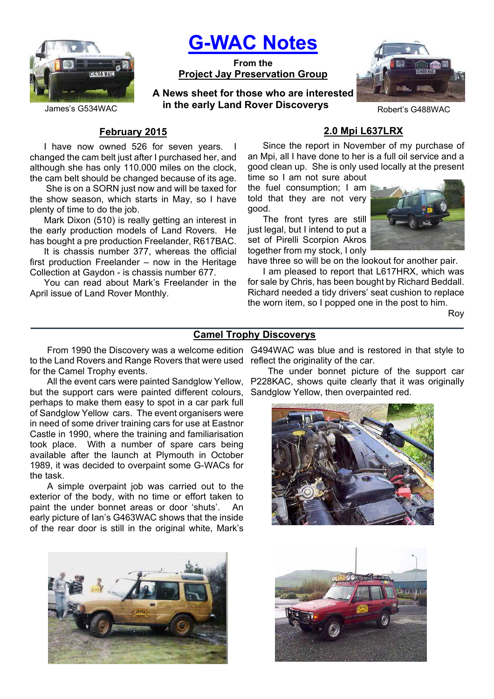

# **G-WAC Notes**

**From the Project Jay Preservation Group**

James's G534WAC **in the early Land Rover Discoverys** Robert's G488WAC **A News sheet for those who are interested** 



### **February 2015**

I have now owned 526 for seven years. I changed the cam belt just after I purchased her, and although she has only 110.000 miles on the clock, the cam belt should be changed because of its age.

 She is on a SORN just now and will be taxed for the show season, which starts in May, so I have plenty of time to do the job.

Mark Dixon (510) is really getting an interest in the early production models of Land Rovers. He has bought a pre production Freelander, R617BAC.

It is chassis number 377, whereas the official first production Freelander – now in the Heritage Collection at Gaydon - is chassis number 677.

You can read about Mark's Freelander in the April issue of Land Rover Monthly.

### **2.0 Mpi L637LRX**

Since the report in November of my purchase of an Mpi, all I have done to her is a full oil service and a good clean up. She is only used locally at the present

time so I am not sure about the fuel consumption; I am told that they are not very good.

The front tyres are still just legal, but I intend to put a set of Pirelli Scorpion Akros together from my stock, I only



have three so will be on the lookout for another pair.

I am pleased to report that L617HRX, which was for sale by Chris, has been bought by Richard Beddall. Richard needed a tidy drivers' seat cushion to replace the worn item, so I popped one in the post to him.

Roy

### **Camel Trophy Discoverys**

**\_\_\_\_\_\_\_\_\_\_\_\_\_\_\_\_\_\_\_\_\_\_\_\_\_\_\_\_\_\_\_\_\_\_\_\_\_\_\_\_\_\_\_\_\_\_\_\_\_\_\_\_\_\_\_\_\_\_\_\_\_\_\_\_\_\_\_\_\_\_\_\_\_\_\_\_\_\_**

to the Land Rovers and Range Rovers that were used for the Camel Trophy events.

All the event cars were painted Sandglow Yellow, but the support cars were painted different colours, perhaps to make them easy to spot in a car park full of Sandglow Yellow cars. The event organisers were in need of some driver training cars for use at Eastnor Castle in 1990, where the training and familiarisation took place. With a number of spare cars being available after the launch at Plymouth in October 1989, it was decided to overpaint some G-WACs for the task.

A simple overpaint job was carried out to the exterior of the body, with no time or effort taken to paint the under bonnet areas or door 'shuts'. An early picture of Ian's G463WAC shows that the inside of the rear door is still in the original white, Mark's



From 1990 the Discovery was a welcome edition G494WAC was blue and is restored in that style to reflect the originality of the car.

The under bonnet picture of the support car P228KAC, shows quite clearly that it was originally Sandglow Yellow, then overpainted red.



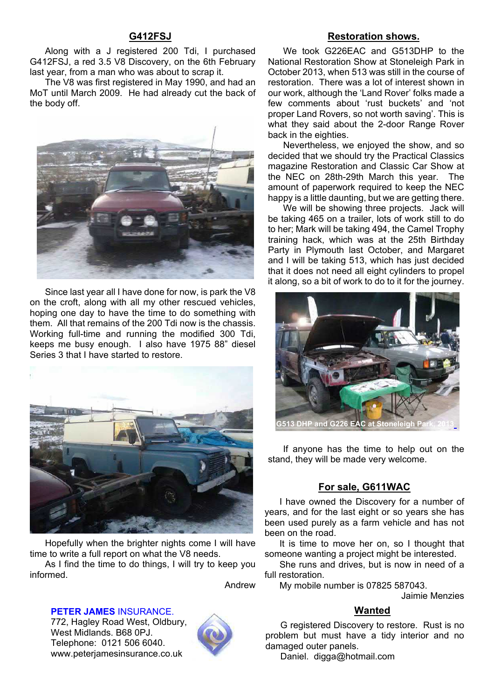### **G412FSJ**

Along with a J registered 200 Tdi, I purchased G412FSJ, a red 3.5 V8 Discovery, on the 6th February last year, from a man who was about to scrap it.

The V8 was first registered in May 1990, and had an MoT until March 2009. He had already cut the back of the body off.



Since last year all I have done for now, is park the V8 on the croft, along with all my other rescued vehicles, hoping one day to have the time to do something with them. All that remains of the 200 Tdi now is the chassis. Working full-time and running the modified 300 Tdi, keeps me busy enough. I also have 1975 88" diesel Series 3 that I have started to restore.



Hopefully when the brighter nights come I will have time to write a full report on what the V8 needs.

As I find the time to do things, I will try to keep you informed.

Andrew

**PETER JAMES** INSURANCE.

772, Hagley Road West, Oldbury, West Midlands. B68 0PJ. Telephone: 0121 506 6040. www.peterjamesinsurance.co.uk



### **Restoration shows.**

We took G226EAC and G513DHP to the National Restoration Show at Stoneleigh Park in October 2013, when 513 was still in the course of restoration. There was a lot of interest shown in our work, although the 'Land Rover' folks made a few comments about 'rust buckets' and 'not proper Land Rovers, so not worth saving'. This is what they said about the 2-door Range Rover back in the eighties.

Nevertheless, we enjoyed the show, and so decided that we should try the Practical Classics magazine Restoration and Classic Car Show at the NEC on 28th-29th March this year. The amount of paperwork required to keep the NEC happy is a little daunting, but we are getting there.

We will be showing three projects. Jack will be taking 465 on a trailer, lots of work still to do to her; Mark will be taking 494, the Camel Trophy training hack, which was at the 25th Birthday Party in Plymouth last October, and Margaret and I will be taking 513, which has just decided that it does not need all eight cylinders to propel it along, so a bit of work to do to it for the journey.



If anyone has the time to help out on the stand, they will be made very welcome.

### **For sale, G611WAC**

I have owned the Discovery for a number of years, and for the last eight or so years she has been used purely as a farm vehicle and has not been on the road.

It is time to move her on, so I thought that someone wanting a project might be interested.

She runs and drives, but is now in need of a full restoration.

My mobile number is 07825 587043.

Jaimie Menzies

### **Wanted**

G registered Discovery to restore. Rust is no problem but must have a tidy interior and no damaged outer panels.

Daniel. digga@hotmail.com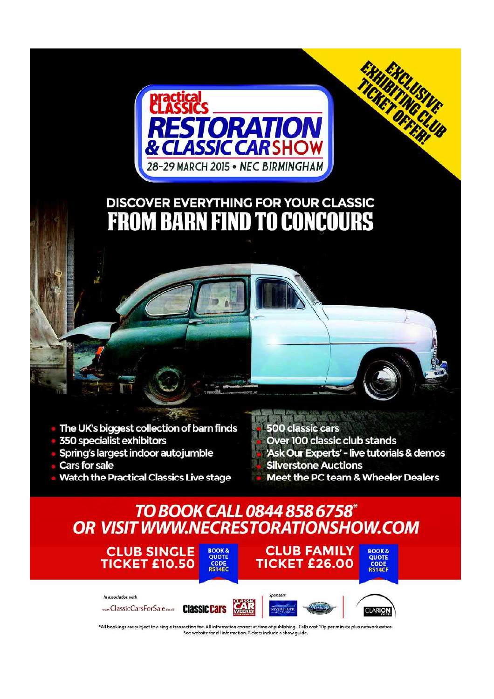

# **DISCOVER EVERYTHING FOR YOUR CLASSIC FROM BARN FIND TO CONCOURS**



- 350 specialist exhibitors
- Spring's largest indoor autojumble

In association with

- **Cars for sale**
- **Watch the Practical Classics Live stage**

### **500 classic cars** Over 100 classic club stands 'Ask Our Experts' - live tutorials & demos **Silverstone Auctions** Meet the PC team & Wheeler Dealers

EXHIBILISHE

## TO BOOK CALL 0844 858 6758\* OR VISIT WWW.NECRESTORATIONSHOW.COM



mmcClassicCarsForSale.co.uk ClassIC Cars



**CLUB FAMILY** 



**BOOK&**<br>QUOTE

CODE

\*All bookings are subject to a single transaction fee. All information correct at time of publishing. Calls cost 10p per minute plus network extras See website for all information. Tickets include a show quide.

Wilson